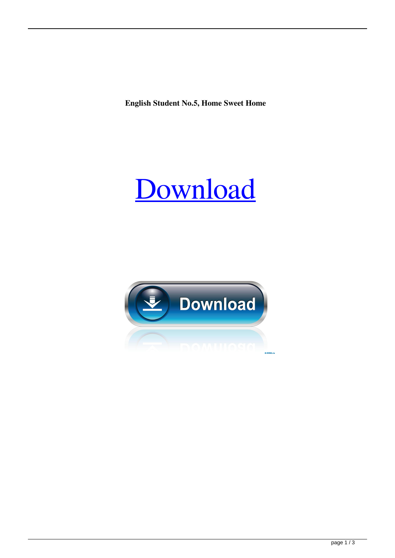**English Student No.5, Home Sweet Home**



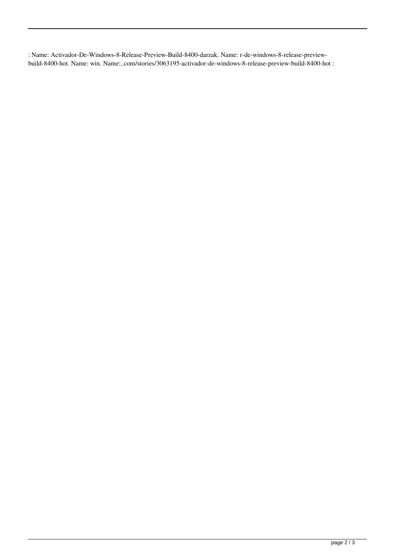: Name: Activador-De-Windows-8-Release-Preview-Build-8400-darzak. Name: r-de-windows-8-release-previewbuild-8400-hot. Name: win. Name:..com/stories/3063195-activador-de-windows-8-release-preview-build-8400-hot :